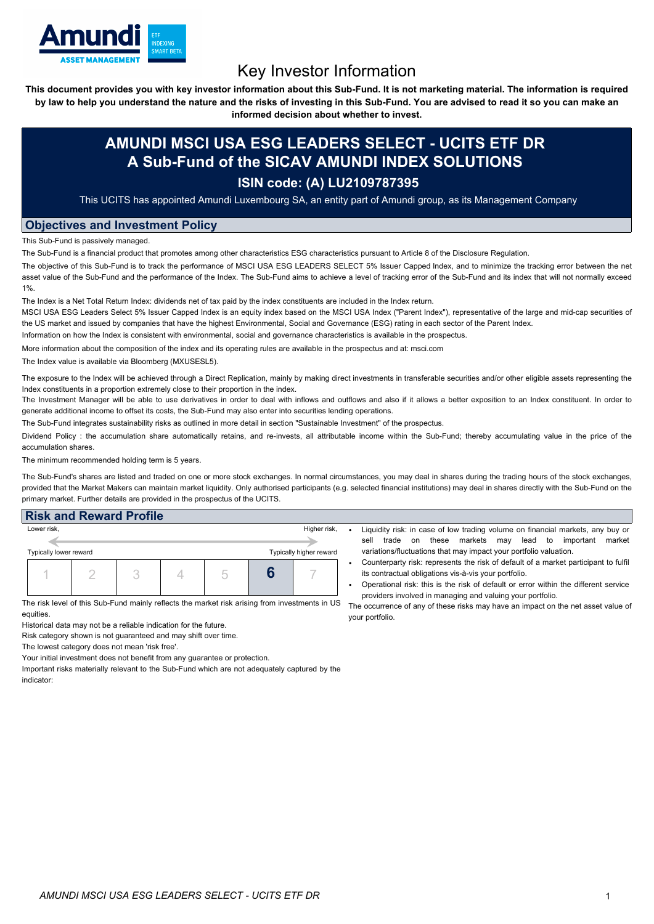

# Key Investor Information

This document provides you with key investor information about this Sub-Fund. It is not marketing material. The information is required by law to help you understand the nature and the risks of investing in this Sub-Fund. You are advised to read it so you can make an

**informed decision about whether to invest.**

## **AMUNDI MSCI USA ESG LEADERS SELECT - UCITS ETF DR A Sub-Fund of the SICAV AMUNDI INDEX SOLUTIONS**

### **ISIN code: (A) LU2109787395**

This UCITS has appointed Amundi Luxembourg SA, an entity part of Amundi group, as its Management Company

#### **Objectives and Investment Policy**

This Sub-Fund is passively managed.

The Sub-Fund is a financial product that promotes among other characteristics ESG characteristics pursuant to Article 8 of the Disclosure Regulation.

The objective of this Sub-Fund is to track the performance of MSCI USA ESG LEADERS SELECT 5% Issuer Capped Index, and to minimize the tracking error between the net asset value of the Sub-Fund and the performance of the Index. The Sub-Fund aims to achieve a level of tracking error of the Sub-Fund and its index that will not normally exceed 1%.

The Index is a Net Total Return Index: dividends net of tax paid by the index constituents are included in the Index return.

MSCI USA ESG Leaders Select 5% Issuer Capped Index is an equity index based on the MSCI USA Index ("Parent Index"), representative of the large and mid-cap securities of the US market and issued by companies that have the highest Environmental, Social and Governance (ESG) rating in each sector of the Parent Index.

Information on how the Index is consistent with environmental, social and governance characteristics is available in the prospectus.

More information about the composition of the index and its operating rules are available in the prospectus and at: msci.com

The Index value is available via Bloomberg (MXUSESL5).

The exposure to the Index will be achieved through a Direct Replication, mainly by making direct investments in transferable securities and/or other eligible assets representing the Index constituents in a proportion extremely close to their proportion in the index.

The Investment Manager will be able to use derivatives in order to deal with inflows and outflows and also if it allows a better exposition to an Index constituent. In order to generate additional income to offset its costs, the Sub-Fund may also enter into securities lending operations.

The Sub-Fund integrates sustainability risks as outlined in more detail in section "Sustainable Investment" of the prospectus.

Dividend Policy : the accumulation share automatically retains, and re-invests, all attributable income within the Sub-Fund; thereby accumulating value in the price of the accumulation shares.

The minimum recommended holding term is 5 years.

The Sub-Fund's shares are listed and traded on one or more stock exchanges. In normal circumstances, you may deal in shares during the trading hours of the stock exchanges, provided that the Market Makers can maintain market liquidity. Only authorised participants (e.g. selected financial institutions) may deal in shares directly with the Sub-Fund on the primary market. Further details are provided in the prospectus of the UCITS.

#### **Risk and Reward Profile**

| Lower risk,            |  |  |  |  |  | Higher risk,            |
|------------------------|--|--|--|--|--|-------------------------|
| Typically lower reward |  |  |  |  |  | Typically higher reward |
|                        |  |  |  |  |  |                         |

The risk level of this Sub-Fund mainly reflects the market risk arising from investments in US equities.

Historical data may not be a reliable indication for the future.

Risk category shown is not guaranteed and may shift over time.

The lowest category does not mean 'risk free'.

Your initial investment does not benefit from any guarantee or protection.

Important risks materially relevant to the Sub-Fund which are not adequately captured by the indicator:

- Liquidity risk: in case of low trading volume on financial markets, any buy or sell trade on these markets may lead to important market variations/fluctuations that may impact your portfolio valuation.
	- Counterparty risk: represents the risk of default of a market participant to fulfil its contractual obligations vis-à-vis your portfolio.
	- Operational risk: this is the risk of default or error within the different service providers involved in managing and valuing your portfolio.

The occurrence of any of these risks may have an impact on the net asset value of your portfolio.